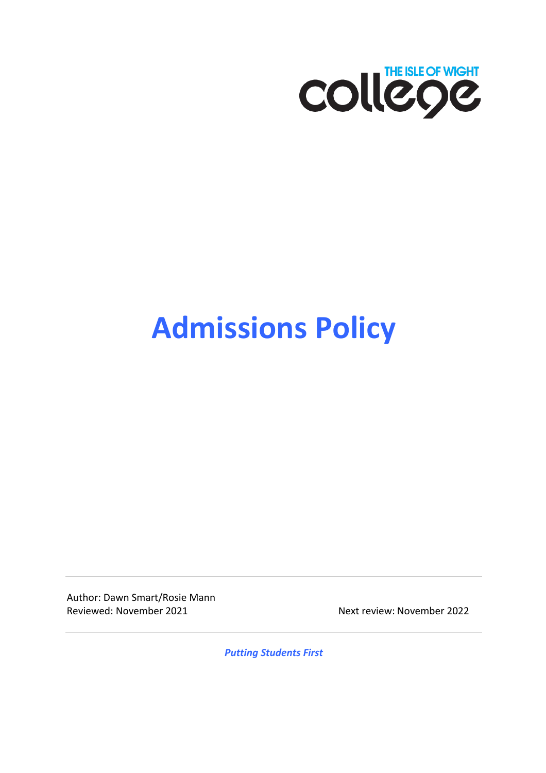

# **Admissions Policy**

Author: Dawn Smart/Rosie Mann Reviewed: November 2021 Next review: November 2022

*Putting Students First*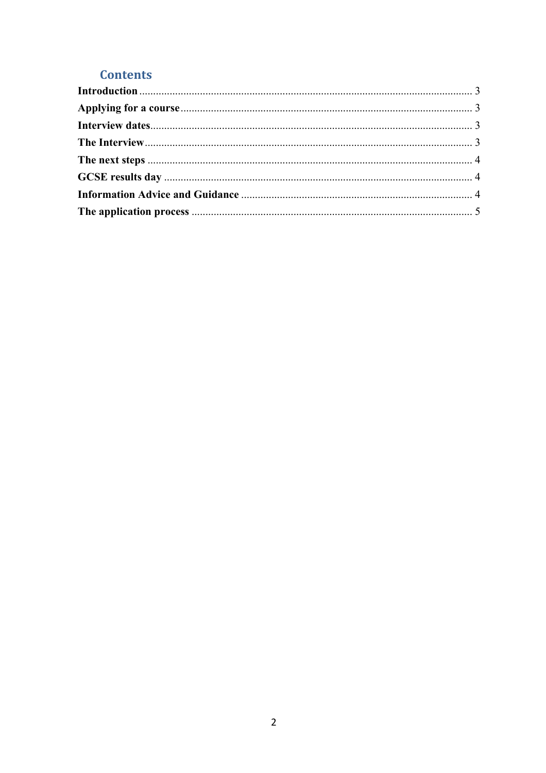### **Contents**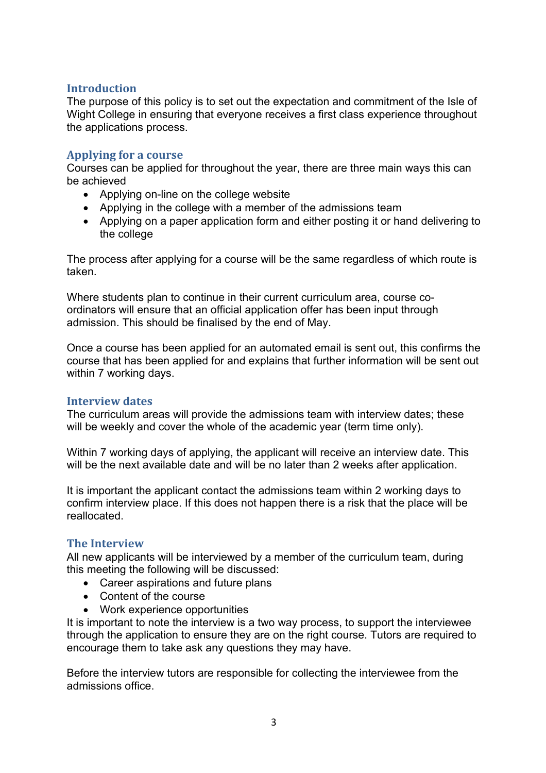#### **Introduction**

The purpose of this policy is to set out the expectation and commitment of the Isle of Wight College in ensuring that everyone receives a first class experience throughout the applications process.

#### **Applying for a course**

Courses can be applied for throughout the year, there are three main ways this can be achieved

- Applying on-line on the college website
- Applying in the college with a member of the admissions team
- Applying on a paper application form and either posting it or hand delivering to the college

The process after applying for a course will be the same regardless of which route is taken.

Where students plan to continue in their current curriculum area, course coordinators will ensure that an official application offer has been input through admission. This should be finalised by the end of May.

Once a course has been applied for an automated email is sent out, this confirms the course that has been applied for and explains that further information will be sent out within 7 working days.

#### **Interview dates**

The curriculum areas will provide the admissions team with interview dates; these will be weekly and cover the whole of the academic year (term time only).

Within 7 working days of applying, the applicant will receive an interview date. This will be the next available date and will be no later than 2 weeks after application.

It is important the applicant contact the admissions team within 2 working days to confirm interview place. If this does not happen there is a risk that the place will be reallocated.

#### **The Interview**

All new applicants will be interviewed by a member of the curriculum team, during this meeting the following will be discussed:

- Career aspirations and future plans
- Content of the course
- Work experience opportunities

It is important to note the interview is a two way process, to support the interviewee through the application to ensure they are on the right course. Tutors are required to encourage them to take ask any questions they may have.

Before the interview tutors are responsible for collecting the interviewee from the admissions office.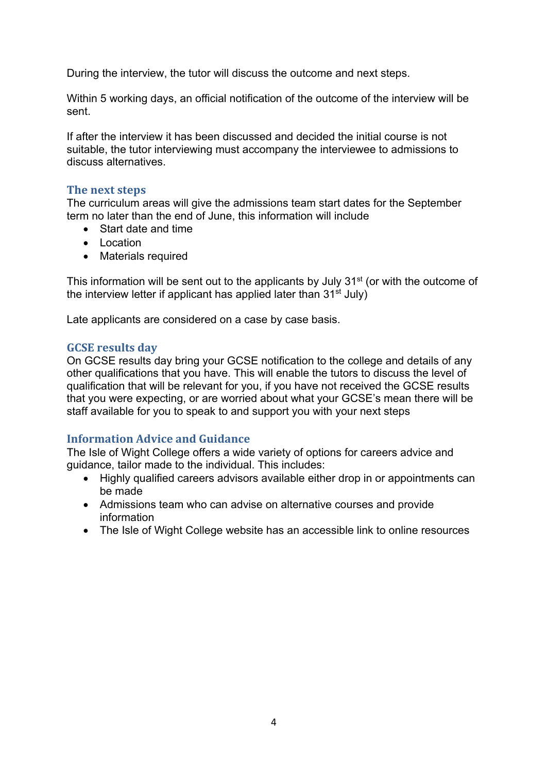During the interview, the tutor will discuss the outcome and next steps.

Within 5 working days, an official notification of the outcome of the interview will be sent.

If after the interview it has been discussed and decided the initial course is not suitable, the tutor interviewing must accompany the interviewee to admissions to discuss alternatives.

#### **The next steps**

The curriculum areas will give the admissions team start dates for the September term no later than the end of June, this information will include

- Start date and time
- Location
- Materials required

This information will be sent out to the applicants by July 31<sup>st</sup> (or with the outcome of the interview letter if applicant has applied later than  $31<sup>st</sup>$  July)

Late applicants are considered on a case by case basis.

#### **GCSE** results day

On GCSE results day bring your GCSE notification to the college and details of any other qualifications that you have. This will enable the tutors to discuss the level of qualification that will be relevant for you, if you have not received the GCSE results that you were expecting, or are worried about what your GCSE's mean there will be staff available for you to speak to and support you with your next steps

#### **Information Advice and Guidance**

The Isle of Wight College offers a wide variety of options for careers advice and guidance, tailor made to the individual. This includes:

- Highly qualified careers advisors available either drop in or appointments can be made
- Admissions team who can advise on alternative courses and provide information
- The Isle of Wight College website has an accessible link to online resources